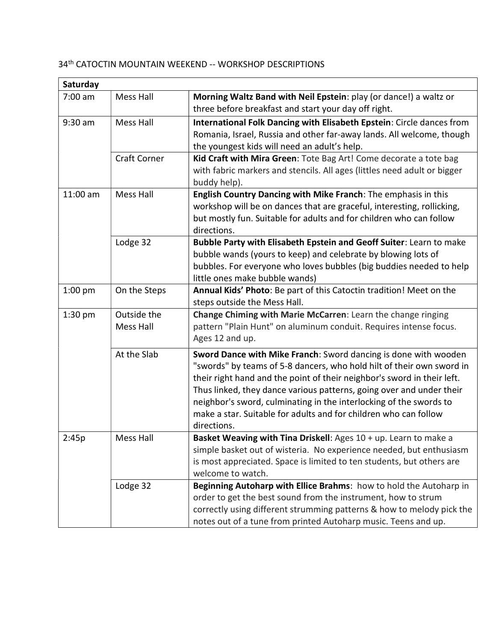## 34th CATOCTIN MOUNTAIN WEEKEND -- WORKSHOP DESCRIPTIONS

| Saturday   |                     |                                                                                                                           |  |
|------------|---------------------|---------------------------------------------------------------------------------------------------------------------------|--|
| 7:00 am    | Mess Hall           | Morning Waltz Band with Neil Epstein: play (or dance!) a waltz or<br>three before breakfast and start your day off right. |  |
| 9:30 am    | Mess Hall           | International Folk Dancing with Elisabeth Epstein: Circle dances from                                                     |  |
|            |                     | Romania, Israel, Russia and other far-away lands. All welcome, though                                                     |  |
|            |                     | the youngest kids will need an adult's help.                                                                              |  |
|            | <b>Craft Corner</b> | Kid Craft with Mira Green: Tote Bag Art! Come decorate a tote bag                                                         |  |
|            |                     | with fabric markers and stencils. All ages (littles need adult or bigger                                                  |  |
|            |                     | buddy help).                                                                                                              |  |
| $11:00$ am | <b>Mess Hall</b>    | English Country Dancing with Mike Franch: The emphasis in this                                                            |  |
|            |                     | workshop will be on dances that are graceful, interesting, rollicking,                                                    |  |
|            |                     | but mostly fun. Suitable for adults and for children who can follow                                                       |  |
|            |                     | directions.                                                                                                               |  |
|            | Lodge 32            | Bubble Party with Elisabeth Epstein and Geoff Suiter: Learn to make                                                       |  |
|            |                     | bubble wands (yours to keep) and celebrate by blowing lots of                                                             |  |
|            |                     | bubbles. For everyone who loves bubbles (big buddies needed to help<br>little ones make bubble wands)                     |  |
| $1:00$ pm  | On the Steps        | Annual Kids' Photo: Be part of this Catoctin tradition! Meet on the                                                       |  |
|            |                     | steps outside the Mess Hall.                                                                                              |  |
| $1:30$ pm  | Outside the         | Change Chiming with Marie McCarren: Learn the change ringing                                                              |  |
|            | <b>Mess Hall</b>    | pattern "Plain Hunt" on aluminum conduit. Requires intense focus.                                                         |  |
|            |                     | Ages 12 and up.                                                                                                           |  |
|            | At the Slab         | Sword Dance with Mike Franch: Sword dancing is done with wooden                                                           |  |
|            |                     | "swords" by teams of 5-8 dancers, who hold hilt of their own sword in                                                     |  |
|            |                     | their right hand and the point of their neighbor's sword in their left.                                                   |  |
|            |                     | Thus linked, they dance various patterns, going over and under their                                                      |  |
|            |                     | neighbor's sword, culminating in the interlocking of the swords to                                                        |  |
|            |                     | make a star. Suitable for adults and for children who can follow                                                          |  |
|            |                     | directions.                                                                                                               |  |
| 2:45p      | Mess Hall           | Basket Weaving with Tina Driskell: Ages 10 + up. Learn to make a                                                          |  |
|            |                     | simple basket out of wisteria. No experience needed, but enthusiasm                                                       |  |
|            |                     | is most appreciated. Space is limited to ten students, but others are                                                     |  |
|            |                     | welcome to watch.                                                                                                         |  |
|            | Lodge 32            | Beginning Autoharp with Ellice Brahms: how to hold the Autoharp in                                                        |  |
|            |                     | order to get the best sound from the instrument, how to strum                                                             |  |
|            |                     | correctly using different strumming patterns & how to melody pick the                                                     |  |
|            |                     | notes out of a tune from printed Autoharp music. Teens and up.                                                            |  |